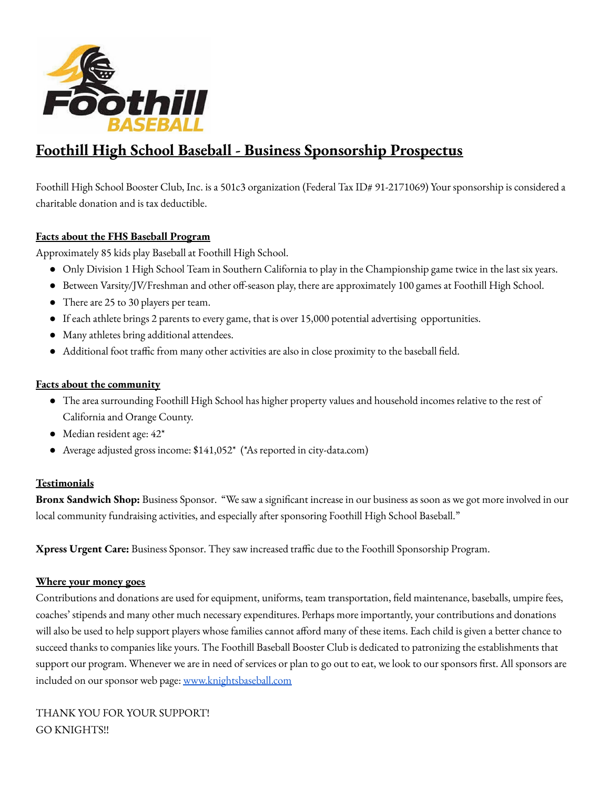

# **Foothill High School Baseball - Business Sponsorship Prospectus**

Foothill High School Booster Club, Inc. is a 501c3 organization (Federal Tax ID# 91-2171069) Your sponsorship is considered a charitable donation and is tax deductible.

### **Facts about the FHS Baseball Program**

Approximately 85 kids play Baseball at Foothill High School.

- Only Division 1 High School Team in Southern California to play in the Championship game twice in the last six years.
- Between Varsity/JV/Freshman and other off-season play, there are approximately 100 games at Foothill High School.
- There are 25 to 30 players per team.
- If each athlete brings 2 parents to every game, that is over 15,000 potential advertising opportunities.
- Many athletes bring additional attendees.
- Additional foot traffic from many other activities are also in close proximity to the baseball field.

#### **Facts about the community**

- The area surrounding Foothill High School has higher property values and household incomes relative to the rest of California and Orange County.
- Median resident age: 42\*
- Average adjusted gross income: \$141,052<sup>\*</sup> (\*As reported in city-data.com)

### **Testimonials**

**Bronx Sandwich Shop:** Business Sponsor. "We saw a significant increase in our business as soon as we got more involved in our local community fundraising activities, and especially after sponsoring Foothill High School Baseball."

**Xpress Urgent Care:** Business Sponsor. They saw increased traffic due to the Foothill Sponsorship Program.

#### **Where your money goes**

Contributions and donations are used for equipment, uniforms, team transportation, field maintenance, baseballs, umpire fees, coaches' stipends and many other much necessary expenditures. Perhaps more importantly, your contributions and donations will also be used to help support players whose families cannot afford many of these items. Each child is given a better chance to succeed thanks to companies like yours. The Foothill Baseball Booster Club is dedicated to patronizing the establishments that support our program. Whenever we are in need of services or plan to go out to eat, we look to our sponsors first. All sponsors are included on our sponsor web page: [www.knightsbaseball.com](http://www.knightsbaseball.com)

THANK YOU FOR YOUR SUPPORT! GO KNIGHTS!!